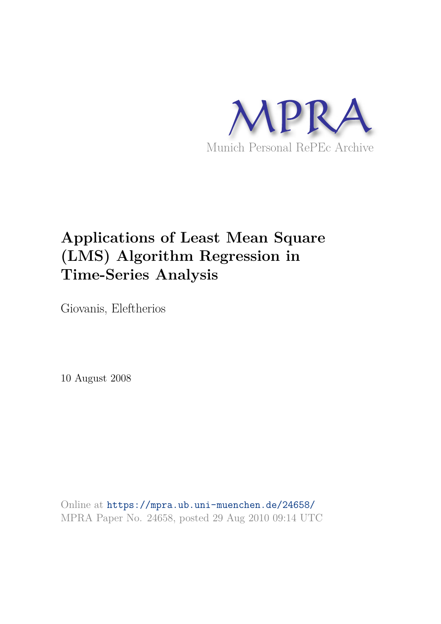

# **Applications of Least Mean Square (LMS) Algorithm Regression in Time-Series Analysis**

Giovanis, Eleftherios

10 August 2008

Online at https://mpra.ub.uni-muenchen.de/24658/ MPRA Paper No. 24658, posted 29 Aug 2010 09:14 UTC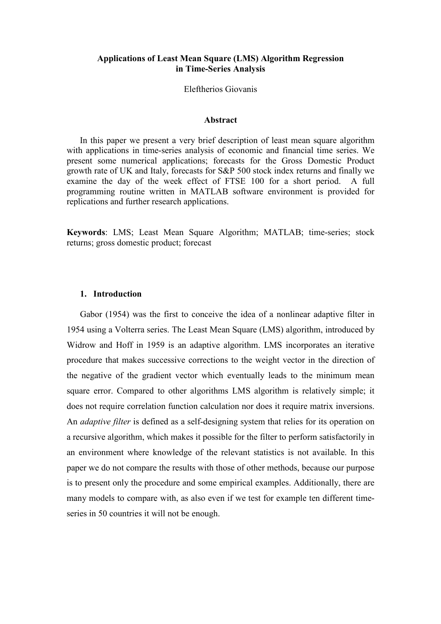#### **Applications of Least Mean Square (LMS) Algorithm Regression** in Time-Series Analysis

#### Eleftherios Giovanis

#### **Abstract**

In this paper we present a very brief description of least mean square algorithm with applications in time-series analysis of economic and financial time series. We present some numerical applications; forecasts for the Gross Domestic Product growth rate of UK and Italy, forecasts for S&P 500 stock index returns and finally we examine the day of the week effect of FTSE 100 for a short period.  $\overline{A}$  full programming routine written in MATLAB software environment is provided for replications and further research applications.

Keywords: LMS; Least Mean Square Algorithm; MATLAB; time-series; stock returns; gross domestic product; forecast

#### 1. Introduction

Gabor (1954) was the first to conceive the idea of a nonlinear adaptive filter in 1954 using a Volterra series. The Least Mean Square (LMS) algorithm, introduced by Widrow and Hoff in 1959 is an adaptive algorithm. LMS incorporates an iterative procedure that makes successive corrections to the weight vector in the direction of the negative of the gradient vector which eventually leads to the minimum mean square error. Compared to other algorithms LMS algorithm is relatively simple; it does not require correlation function calculation nor does it require matrix inversions. An *adaptive filter* is defined as a self-designing system that relies for its operation on a recursive algorithm, which makes it possible for the filter to perform satisfactorily in an environment where knowledge of the relevant statistics is not available. In this paper we do not compare the results with those of other methods, because our purpose is to present only the procedure and some empirical examples. Additionally, there are many models to compare with, as also even if we test for example ten different timeseries in 50 countries it will not be enough.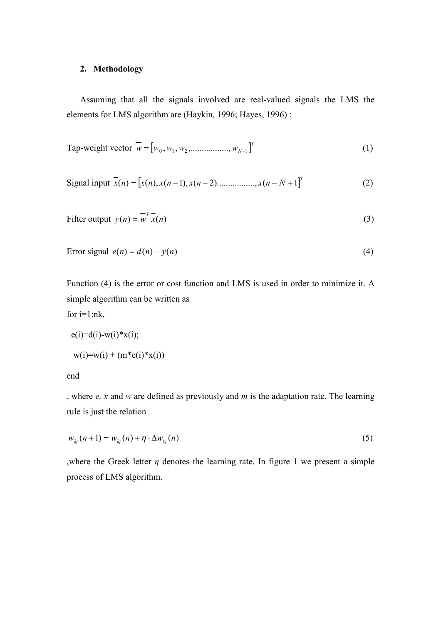## 2. Methodology

Assuming that all the signals involved are real-valued signals the LMS the elements for LMS algorithm are (Haykin, 1996; Hayes, 1996) :

Tap-weight vector 
$$
\overline{w} = [w_0, w_1, w_2, \dots, w_{N-1}]^T
$$
 (1)

Signal input 
$$
\bar{x}(n) = [x(n), x(n-1), x(n-2), \dots, x(n-N+1)]^T
$$
 (2)

Filter output 
$$
y(n) = \overline{w}^T \overline{x}(n)
$$
 (3)

$$
Error signal \ e(n) = d(n) - y(n) \tag{4}
$$

Function (4) is the error or cost function and LMS is used in order to minimize it. A simple algorithm can be written as for  $i=1:nk$ ,

$$
e(i)=d(i)-w(i)*x(i);
$$
  
\n $w(i)=w(i) + (m*e(i)*x(i))$ 

end

, where  $e$ , x and w are defined as previously and m is the adaptation rate. The learning rule is just the relation

$$
w_{kj}(n+1) = w_{kj}(n) + \eta \cdot \Delta w_{kj}(n) \tag{5}
$$

where the Greek letter  $\eta$  denotes the learning rate. In figure 1 we present a simple process of LMS algorithm.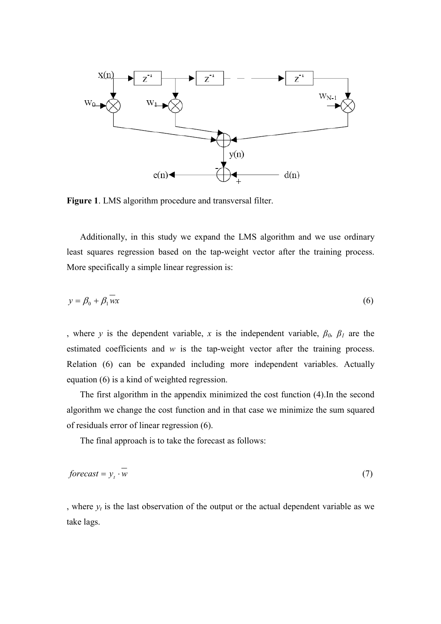

Figure 1. LMS algorithm procedure and transversal filter.

Additionally, in this study we expand the LMS algorithm and we use ordinary least squares regression based on the tap-weight vector after the training process. More specifically a simple linear regression is:

$$
y = \beta_0 + \beta_1 \overline{wx} \tag{6}
$$

, where y is the dependent variable, x is the independent variable,  $\beta_0$ ,  $\beta_1$  are the estimated coefficients and  $w$  is the tap-weight vector after the training process. Relation (6) can be expanded including more independent variables. Actually equation (6) is a kind of weighted regression.

The first algorithm in the appendix minimized the cost function (4). In the second algorithm we change the cost function and in that case we minimize the sum squared of residuals error of linear regression  $(6)$ .

The final approach is to take the forecast as follows:

$$
forecast = y_t \cdot w \tag{7}
$$

, where  $y_t$  is the last observation of the output or the actual dependent variable as we take lags.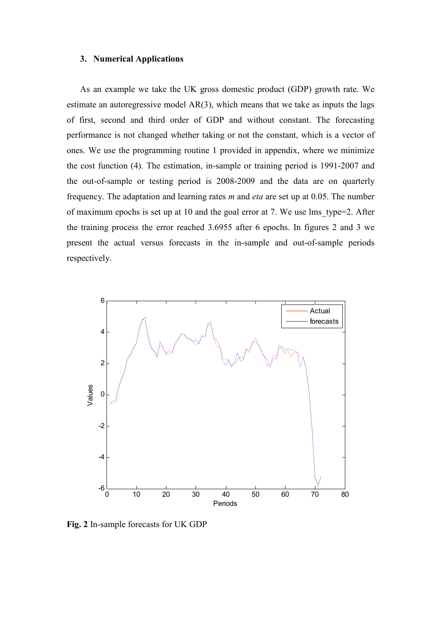#### 3. Numerical Applications

As an example we take the UK gross domestic product (GDP) growth rate. We estimate an autoregressive model  $AR(3)$ , which means that we take as inputs the lags of first, second and third order of GDP and without constant. The forecasting performance is not changed whether taking or not the constant, which is a vector of ones. We use the programming routine 1 provided in appendix, where we minimize the cost function (4). The estimation, in-sample or training period is 1991-2007 and the out-of-sample or testing period is 2008-2009 and the data are on quarterly frequency. The adaptation and learning rates  $m$  and *eta* are set up at 0.05. The number of maximum epochs is set up at 10 and the goal error at 7. We use lms type=2. After the training process the error reached 3.6955 after 6 epochs. In figures 2 and 3 we present the actual versus forecasts in the in-sample and out-of-sample periods respectively.



Fig. 2 In-sample forecasts for UK GDP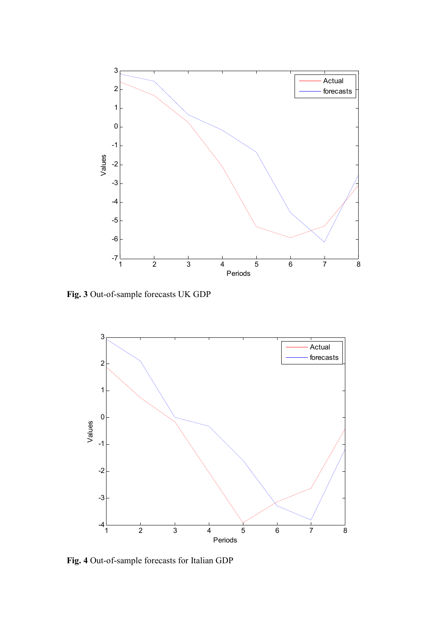

Fig. 3 Out-of-sample forecasts UK GDP



Fig. 4 Out-of-sample forecasts for Italian GDP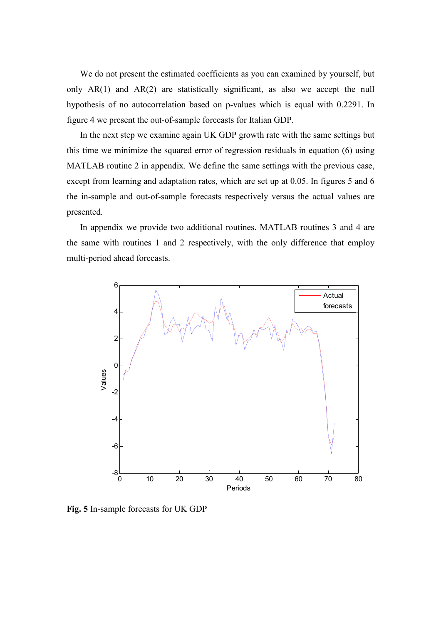We do not present the estimated coefficients as you can examined by yourself, but only  $AR(1)$  and  $AR(2)$  are statistically significant, as also we accept the null hypothesis of no autocorrelation based on p-values which is equal with 0.2291. In figure 4 we present the out-of-sample forecasts for Italian GDP.

In the next step we examine again UK GDP growth rate with the same settings but this time we minimize the squared error of regression residuals in equation (6) using MATLAB routine 2 in appendix. We define the same settings with the previous case, except from learning and adaptation rates, which are set up at 0.05. In figures 5 and 6 the in-sample and out-of-sample forecasts respectively versus the actual values are presented.

In appendix we provide two additional routines. MATLAB routines 3 and 4 are the same with routines 1 and 2 respectively, with the only difference that employ multi-period ahead forecasts.



Fig. 5 In-sample forecasts for UK GDP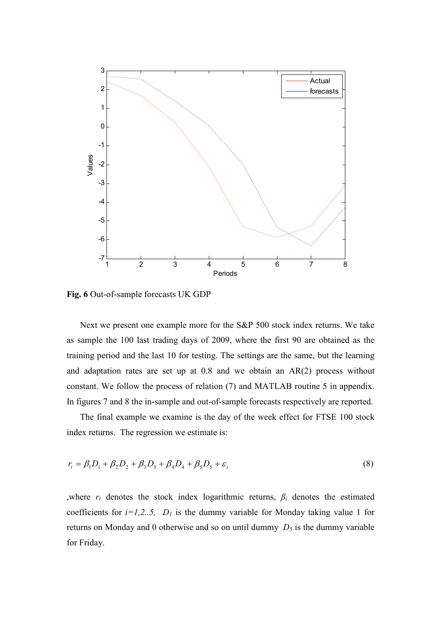

Fig. 6 Out-of-sample forecasts UK GDP

Next we present one example more for the S&P 500 stock index returns. We take as sample the 100 last trading days of 2009, where the first 90 are obtained as the training period and the last 10 for testing. The settings are the same, but the learning and adaptation rates are set up at  $0.8$  and we obtain an  $AR(2)$  process without constant. We follow the process of relation (7) and MATLAB routine 5 in appendix. In figures 7 and 8 the in-sample and out-of-sample forecasts respectively are reported.

The final example we examine is the day of the week effect for FTSE 100 stock index returns. The regression we estimate is:

$$
r_{t} = \beta_{1}D_{1} + \beta_{2}D_{2} + \beta_{3}D_{3} + \beta_{4}D_{4} + \beta_{5}D_{5} + \varepsilon_{t}
$$
\n(8)

, where  $r_t$  denotes the stock index logarithmic returns,  $\beta_i$  denotes the estimated coefficients for  $i=1,2...5$ ,  $D_l$  is the dummy variable for Monday taking value 1 for returns on Monday and 0 otherwise and so on until dummy  $D_5$  is the dummy variable for Friday.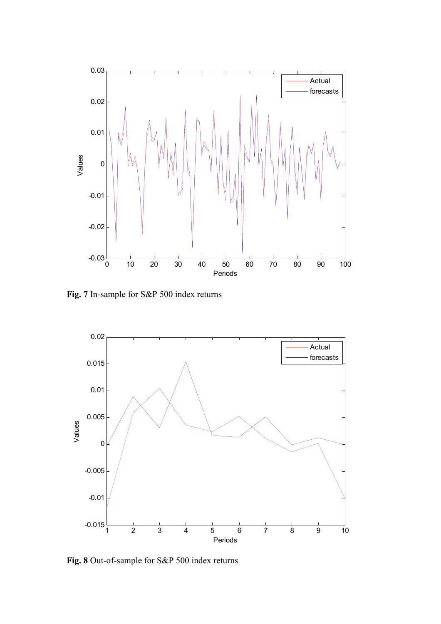

Fig. 7 In-sample for S&P 500 index returns



Fig. 8 Out-of-sample for S&P 500 index returns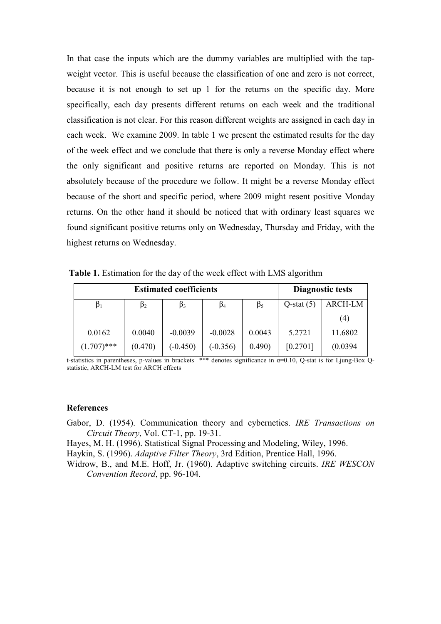In that case the inputs which are the dummy variables are multiplied with the tapweight vector. This is useful because the classification of one and zero is not correct, because it is not enough to set up 1 for the returns on the specific day. More specifically, each day presents different returns on each week and the traditional classification is not clear. For this reason different weights are assigned in each day in each week. We examine 2009. In table 1 we present the estimated results for the day of the week effect and we conclude that there is only a reverse Monday effect where the only significant and positive returns are reported on Monday. This is not absolutely because of the procedure we follow. It might be a reverse Monday effect because of the short and specific period, where 2009 might resent positive Monday returns. On the other hand it should be noticed that with ordinary least squares we found significant positive returns only on Wednesday, Thursday and Friday, with the highest returns on Wednesday.

Table 1. Estimation for the day of the week effect with LMS algorithm

| <b>Estimated coefficients</b> |           |            |            |           | Diagnostic tests |                |
|-------------------------------|-----------|------------|------------|-----------|------------------|----------------|
| $\beta_1$                     | $\beta_2$ | B3         | $\beta_4$  | $\beta_5$ | $Q$ -stat $(5)$  | <b>ARCH-LM</b> |
|                               |           |            |            |           |                  | (4)            |
| 0.0162                        | 0.0040    | $-0.0039$  | $-0.0028$  | 0.0043    | 5.2721           | 11.6802        |
| $(1.707)$ ***                 | (0.470)   | $(-0.450)$ | $(-0.356)$ | 0.490)    | [0.2701]         | (0.0394)       |

t-statistics in parentheses, p-values in brackets \*\*\* denotes significance in  $\alpha$ =0.10, Q-stat is for Ljung-Box Qstatistic, ARCH-LM test for ARCH effects

#### **References**

Gabor, D. (1954). Communication theory and cybernetics. IRE Transactions on Circuit Theory, Vol. CT-1, pp. 19-31.

Hayes, M. H. (1996). Statistical Signal Processing and Modeling, Wilev. 1996.

Haykin, S. (1996). Adaptive Filter Theory, 3rd Edition, Prentice Hall, 1996.

Widrow, B., and M.E. Hoff, Jr. (1960). Adaptive switching circuits. IRE WESCON Convention Record, pp. 96-104.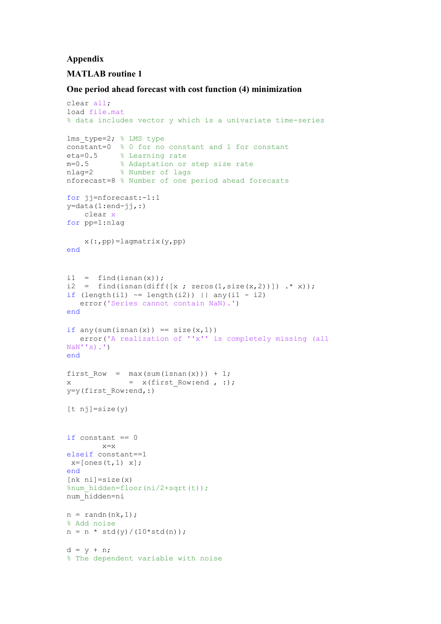#### Appendix

# **MATLAB** routine 1

#### One period ahead forecast with cost function (4) minimization

```
clear all;
load file.mat
% data includes vector y which is a univariate time-series
lms type=2; % LMS type
constant=0 % 0 for no constant and 1 for constant
eta=0.5 % Learning rate
m=0.5 % Adaptation or step size rate<br>nlag=2 % Number of lags
nforecast=8 % Number of one period ahead forecasts
for j-nforecast:-1:1
y = data(1:end - jj, :)clear x
for pp=1:nlag
    x(:, pp) =lagmatrix(y, pp)
end
i1 = find(isan(x));i2 = find(isnan(diff([x ; zeros(1,size(x,2))]) .* x));
if \text{length}(i1) \approx \text{length}(i2) | | any(i1 - i2)error ('Series cannot contain NaN).')
end
if any(sum(isnan(x)) == size(x, 1))error('A realization of ''x'' is completely missing (all
NaN''s.<sup>'</sup>
end
first_{Now} = max(sum(isnan(x))) + 1;\mathbf{x}= x(first Row: end, :);y=y(first Row:end, :)
[t nj] = size(y)if constant == 0x=xelseif constant==1
x=[ones(t,1) x];
end
[nk \ni]=size(x)%num hidden=floor(ni/2+sqrt(t));
num hidden=ni
n = \text{randn}(nk, 1);
% Add noise
n = n * std(y) / (10 * std(n));d = y + n;% The dependent variable with noise
```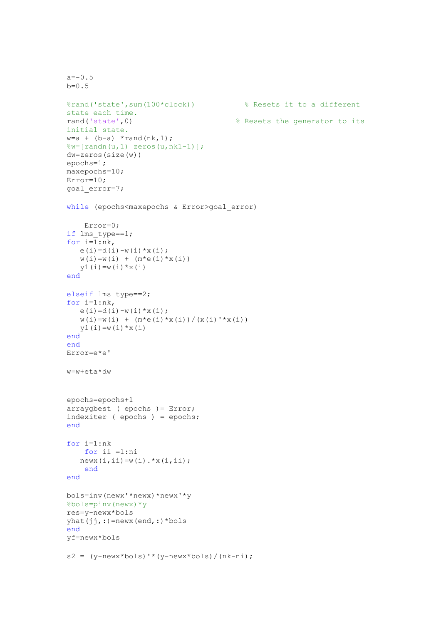```
a=-0.5b=0.5% Resets it to a different
%rand('state', sum(100*clock))
state each time.
rand('state',0)
                                           % Resets the generator to its
initial state.
w=a + (b-a) * rand(nk, 1);\forall w = [\text{randn}(u, 1) \text{ zeros}(u, nk1-1)];
dw = zeros(size(w))epochs=1;maxepochs=10;
Error=10;goal error=7;
while (epochs<maxepochs & Error>goal error)
    Error=0;if lms_type==1;
for i=\overline{1}:nk,
   e(i) = d(i) - w(i) * x(i);w(i) = w(i) + (m*e(i) *x(i))y1(i) = w(i) * x(i)end
elseif lms type==2;
for i=1:nk,
   \mathop{\rm e}\nolimits\left({\mathop{\rm i}\nolimits}\right) =d(i) -w(i) *x(i) ;
   w(i) = w(i) + (m*e(i) *x(i)) / (x(i) *x(i))y1(i) = w(i) * x(i)end
end
Error=e*e'
w=w+eta*dw
epochs=epochs+1
arraygbest ( epochs ) = Error;
indexiter ( epochs ) = epochs;
end
for i=1:nkfor ii = 1:ninewx(i, ii) = w(i) \cdot *x(i, ii);end
end
bols=inv(newx'*newx)*newx'*y
%bols=pinv(newx)*y
res=y-newx*bols
yhat(jj,:)=newx(end,:)*bolsend
yf=newx*bols
s2 = (y-new x * bols) * (y-new x * bols) / (nk-ni);
```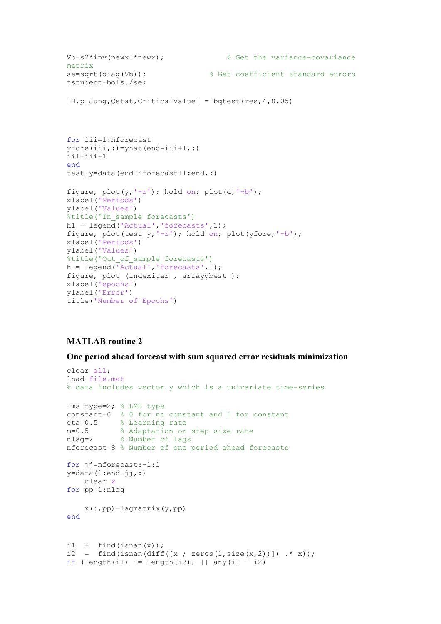```
Vb = s2*inv(newx'*new);% Get the variance-covariance
matrix
se=sqrt(diag(Vb));
                                % Get coefficient standard errors
tstudent=bols./se;
[H, p \, Jung, Qstat, CriticalValue] = \text{lbdtest} (res, 4, 0.05)for iii=1:nforecast
yfore(iii, :)=yhat(end-iii+1,:)
iii=iii+1
end
test y=data(end-nforecast+1:end,:)
figure, plot(y, ' - r'); hold on; plot(d, ' - b');
xlabel('Periods')
ylabel('Values')
%title('In sample forecasts')
h1 = legend('Actual', 'forecasts', 1);
figure, plot(test y, ' - r'); hold on; plot(yfore, '-b');
xlabel('Periods')
ylabel('Values')
%title('Out of sample forecasts')
h = legend('Actual', 'forecasts', 1);figure, plot (indexiter, arraygbest);
xlabel('epochs')
ylabel ('Error')
title ('Number of Epochs')
```
#### One period ahead forecast with sum squared error residuals minimization

```
clear all:
load file.mat
% data includes vector y which is a univariate time-series
lms type=2; % LMS type
constant=0 % 0 for no constant and 1 for constant
eta=0.5 % Learning rate<br>m=0.5 % Adaptation or step size rate<br>nlag=2 % Number of lags
nforecast=8 % Number of one period ahead forecasts
for jj=nforecast:-1:1y = data(1:end-jj,:)clear x
for pp=1:nlag
     x(:, pp) =laqmatrix(y, pp)endi1 = find(isnan(x));<br>i2 = find(isnan(diff([x; zeros(1,size(x,2))]) .* x));
if \text{length}(i1) \approx \text{length}(i2) | | any(i1 - i2)
```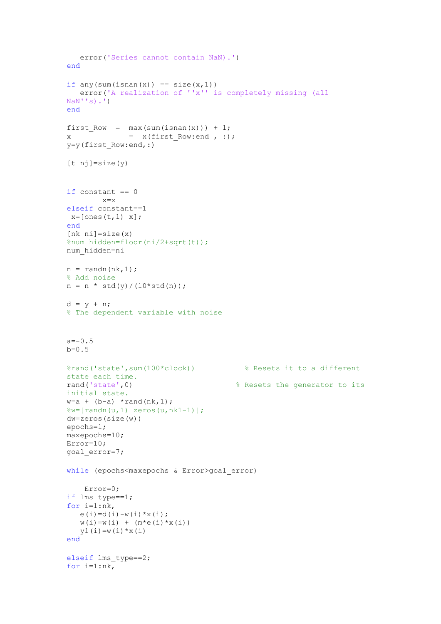```
error ('Series cannot contain NaN).')
end
if any (sum (isnan(x)) == size(x,1))error('A realization of ''x'' is completely missing (all
\text{NaN}''s).')
end
first Row = max(sum(isnan(x))) + 1;= x(first Row:end, :);\mathbf{x}y=y(first Row:end, :)
[t nj]=size(y)
if constant == 0x=xelseif constant == 1
x = [ones(t, 1) x];end
[nk \ni]=size(x)%num hidden=floor(ni/2+sqrt(t));
num hidden=ni
n = \text{randn}(nk, 1);
% Add noise
n = n * std(y) / (10 * std(n));d = y + n;% The dependent variable with noise
a=-0.5b=0.5%rand('state', sum(100*clock))
                                         % Resets it to a different
state each time.
rand('state',0)
                                       % Resets the generator to its
initial state.
w=a + (b-a) * rand(nk, 1);\frac{1}{6}w = [\text{randn}(u, 1) \text{ zeros}(u, nk1-1)];
dw = zeros (size(w))epochs=1;maxepochs=10;Error = 10:goal error=7;
while (epochs<maxepochs & Error>goal error)
    Error=0;if lms type==1;
for i=\overline{1};nk,e(i) = d(i) - w(i) * x(i);w(i) = w(i) + (m*e(i) *x(i))y1(i) = w(i) * x(i)end
elseif lms_type==2;
for i=1:nk,
```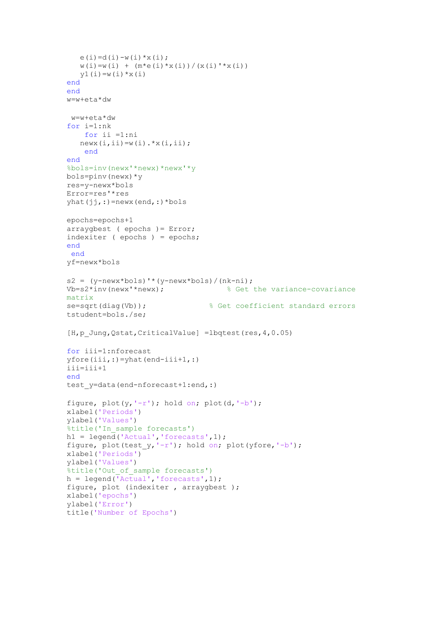```
e(i) = d(i) - w(i) * x(i);w(i) = w(i) + (m*e(i)*x(i)) / (x(i) *x(i))y1(i) = w(i) * x(i)end
end
w=w+eta*dw
w=w+eta*dw
for i=1:nkfor ii = 1:ninewx(i, ii) = w(i) \cdot *x(i, ii);end
end
%bols=inv(newx'*newx)*newx'*v
bols = pinv(newx) * vres=y-newx*bols
Error=res'*res
vhat(i<sub>i</sub>, :)=newx(end,:)*bolsepochs=epochs+1
arraygbest ( epochs ) = Error;
indexiter ( epochs ) = epochs;
end
 end
vf=newx*bols
s2 = (v-newx * bols) * (v-newx *bols) / (nk-ni);Vb = s2 * inv(newx' * newx):
                                      % Get the variance-covariance
matrix
                                  % Get coefficient standard errors
se=sqrt(diag(Vb));tstudent=bols./se;
[H, p Jung, Qstat, CriticalValue] = lbqtest (res, 4, 0.05)
for iii=1:nforecast
yfore(iii,:)=yhat(end-iii+1,:)iii=iii+1
end
test y=data(end-nforecast+1:end,:)
figure, plot(y, ' - r'); hold on; plot(d, ' - b');
xlabel('Periods')
ylabel('Values')
%title('In sample forecasts')
h1 = legend('Actual', 'forecasts', 1);figure, plot(test_y,'-r'); hold on; plot(yfore,'-b');xlabel ('Periods')
ylabel('Values')
%title('Out of sample forecasts')
h = legend('Actual', 'forecasts', 1);figure, plot (indexiter, arraygbest);
xlabel('epochs')
ylabel ('Error')
title ('Number of Epochs')
```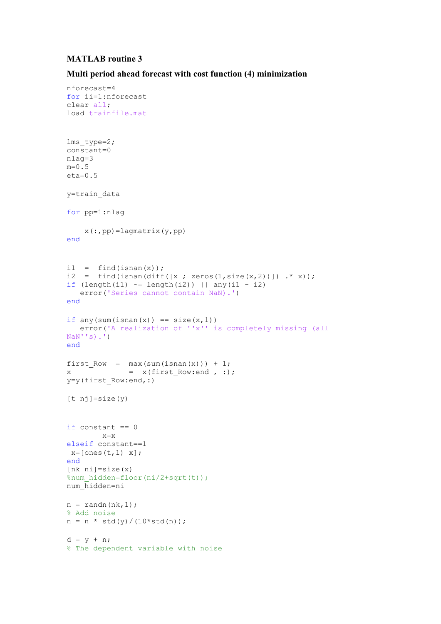nforecast=4

#### Multi period ahead forecast with cost function (4) minimization

```
for ii=1:nforecast
clear all;
load trainfile.mat
lms type=2;
\overline{\text{constant}}=0
nlaq=3m=0.5eta=0.5y=train data
for pp=1:nlag
    x(:, pp) =lagmatrix(y,pp)
end
i1 = find(isan(x));i2 = find(isnan(diff([x; zeros(1,size(x,2))]) .* x);
if \text{length}(i1) \approx \text{length}(i2) | | any(i1 - i2)error ('Series cannot contain NaN).')
end
if any (sum (isnan(x)) == size(x, 1))error('A realization of ''x'' is completely missing (all
\text{NaN}''s).')
end
first Row = max(sum(isnan(x))) + 1;= x(first Row:end, :);
\mathbf{x}y=y(first Row:end, :)
[t nj] = size(y)if constant == 0x=xelseif constant == 1
x = [ones(t, 1) x];end
[nk \nni]=size(x)%num hidden=floor(ni/2+sqrt(t));
num hidden=ni
n = \text{randn}(nk, 1);
% Add noise
n = n * std(y) / (10 * std(n));d = y + n;% The dependent variable with noise
```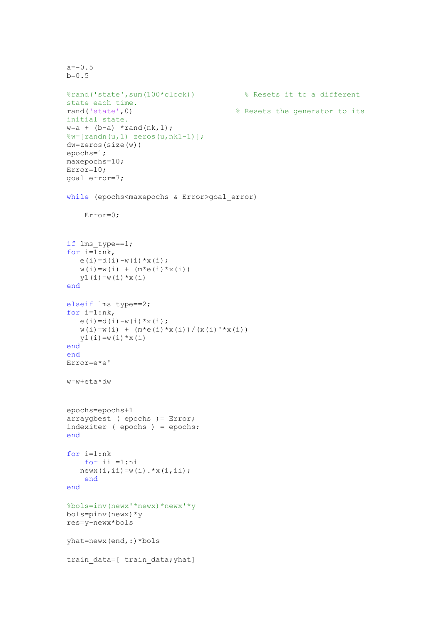```
a=-0.5b=0.5%rand('state', sum(100*clock))
                                         % Resets it to a different
state each time.
rand('state',0)
                                       % Resets the generator to its
initial state.
w=a + (b-a) * rand(nk, 1);\sqrt[8]{w}= [randn(u, 1) zeros(u, nk1-1)];
dw = zeros(size(w))epochs=1;maxepochs=10;Error=10;qoal error=7;
while (epochs<maxepochs & Error>goal error)
    Error=0:if lms type==1;
for i=\overline{1}:nk,
   e(i) = d(i) - w(i) * x(i);w(i) = w(i) + (m*e(i) *x(i))y1(i) = w(i) * x(i)end
elseif lms_type==2;
for i=1:nk,
   e(i) = d(i) - w(i) * x(i);W(i) = W(i) + (m*e(i)*x(i)) / (x(i)'*x(i))y1(i) = w(i) * x(i)end
end
Error = e * e'w=w+eta*dw
epochs=epochs+1
arraygets ( epochs ) = Error;
indexiter (epochs) = epochs;
end
for i=1:nkfor ii =1:ni
   newx(i, ii) = w(i) . *x(i, ii);end
end
%bols=inv(newx'*newx)*newx'*y
bols=pinv(newx)*y
res=y-newx*bols
yhat=newx(end,:)*bols
train data=[ train data; yhat]
```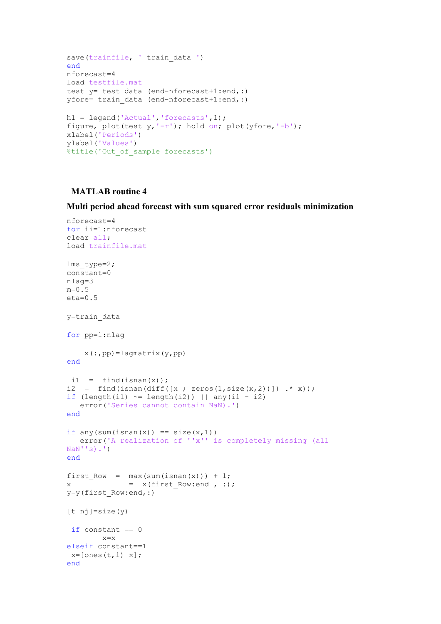```
save(trainfile, 'train data ')
andnforecast=4
load testfile.mat
test y= test data (end-nforecast+1:end,:)
yfore= train data (end-nforecast+1:end,:)
h1 = legend('Actual', 'forecasts', 1);figure, plot(test y, ' - r'); hold on; plot(yfore,'-b');
xlabel('Periods')
ylabel('Values')
%title('Out of sample forecasts')
```
Multi period ahead forecast with sum squared error residuals minimization

```
nforecast=4
for ii=1:nforecast
clear all:
load trainfile.mat
lms type=2;
constant=0nlag=3
m=0.5eta=0.5y=train data
for pp=1:nlag
    x(:,pp) =lagmatrix(y,pp)
end
 i1 = find(isan(x));i2 = find(isan (diff([x ; zeros(1, size(x, 2))]) .* x));if (length(i1) \sim = length(i2)) || any(i1 - i2)error ('Series cannot contain NaN).')
end
if any(sum(isnan(x)) == size(x,1))error('A realization of ''x'' is completely missing (all
NaN'''s).')
end
first Row = max(sum(isnan(x))) + 1;= x(first Row: end, :);\mathbf{x}y=y(first Row:end, :)[t nj]=size(y)
 if constant == 0x=xelseif constant == 1
x = [ones(t, 1) x];end
```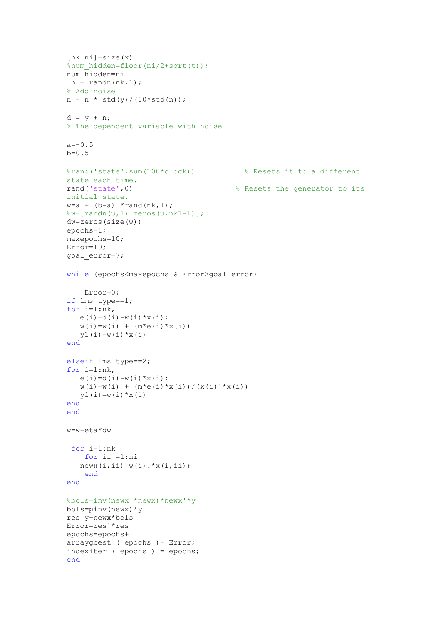```
[nk \nni]=size(x)%num hidden=floor(ni/2+sqrt(t));
num hidden=ni
n = \text{randn}(nk, 1);
% Add noise
n = n * std(y) / (10 * std(n));d = y + n;% The dependent variable with noise
a=-0.5b=0.5%rand('state', sum(100*clock))
                                          % Resets it to a different
state each time.
rand('state',0)
                                        % Resets the generator to its
initial state.
w=a + (b-a) * rand(nk, 1);\forall w = [\text{randn}(u, 1) \text{ zeros}(u, nk1-1)];
dw = zeros (size(w))epochs=1;
maxepochs=10;
Error=10;qoal error=7;
while (epochs<maxepochs & Error>qoal error)
    Error=0:if lms type==1;
for i=1:nk,
   e(i) = d(i) - w(i) * x(i);w(i) = w(i) + (m*e(i) *x(i))y1(i) = w(i) * x(i)end
elseif lms type==2;
for i=1:nk,
   e(i) = d(i) - w(i) * x(i);w(i) = w(i) + (m*e(i) *x(i)) / (x(i) *x(i))v1(i) = w(i) * x(i)end
end
w=w+eta*dw
 for i=1:nkfor ii =1:ni
   newx(i, ii) = w(i) \cdot *x(i, ii);end
end
%bols=inv(newx'*newx)*newx'*y
bols = pinv(newx) * yres=y-newx*bols
Error=res'*res
epochs=epochs+1
arraygbest ( epochs ) = Error;
indexiter (epochs) = epochs;
end
```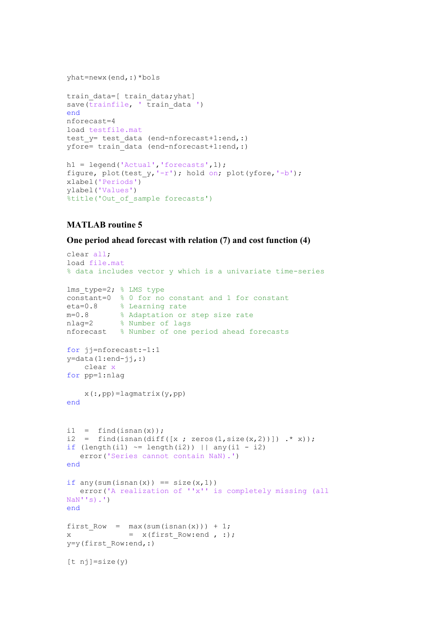```
yhat=newx(end,:)*bols
```

```
train data=[ train data; yhat]
save(\overline{\text{trainfile}}, '\overline{\text{train data}} ')
end
nforecast=4
load testfile.mat
test y= test data (end-nforecast+1:end,:)
yfore= train data (end-nforecast+1:end,:)
```

```
h1 = legend('Actual', 'forecasts', 1);figure, plot(test_y, ' -r'); hold on; plot(yfore, ' -b');
xlabel('Periods')
ylabel('Values')
%title('Out of sample forecasts')
```
#### One period ahead forecast with relation (7) and cost function (4)

```
clear all;
load file.mat
% data includes vector y which is a univariate time-series
lms type=2; % LMS type
constant=0 % 0 for no constant and 1 for constant
eta=0.8 % Learning rate
           % Adaptation or step size rate
m=0.8m=0.8 % Adaptation or :<br>nlag=2 % Number of lags
nforecast % Number of one period ahead forecasts
for jj=nforecast:-1:1
y = data(1:end-jj,:)clear x
for pp=1:nlag
    x(:, pp) =lagmatrix(y, pp)
end
i1 = find(isan(x));i2 = find(isnan(diff([x; zeros(1,size(x,2))]) .* x);
if \text{length}(i1) \approx \text{length}(i2) | | any(i1 - i2)error ('Series cannot contain NaN).')
end
if any (sum (isnan(x)) == size(x, 1))error('A realization of ''x'' is completely missing (all
NaN''s).')
end
first Row = max(sum(isnan(x))) + 1;= x(first Row: end, :);\mathbf{v}y=y(first Row:end, :)
[t nj]=size(y)
```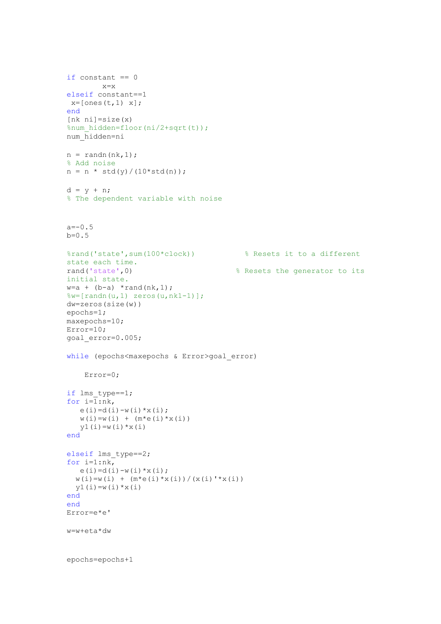```
if constant == 0x = xelseif constant == 1
x = [ones(t, 1) x];end
[nk \nni]=size(x)%num hidden=floor(ni/2+sqrt(t));
num hidden=ni
n = \text{randn}(nk, 1);
% Add noise
n = n * std(y) / (10 * std(n));d = y + n;% The dependent variable with noise
a=-0.5b=0.5%rand('state', sum(100*clock))
                                 % Resets it to a different
state each time.
rand('state',0)
                                      % Resets the generator to its
initial state.
w=a + (b-a) * rand(nk, 1);\forall w = [\text{randn}(u, 1) \text{ zeros}(u, nk1-1)];
dw = zeros(size(w))epochs=1;
maxepochs=10;
Error=10;goal error=0.005;
while (epochs<maxepochs & Error>goal error)
    Error=0:if lms type==1;
for i=\overline{1};nk,e(i) = d(i) - w(i) * x(i);w(i) = w(i) + (m*e(i) *x(i))v1(i) = w(i) * x(i)end
elseif lms_type==2;
for i=1:nk,
  e(i) = d(i) - w(i) * x(i);w(i) = w(i) + (m*e(i) *x(i)) / (x(i) *x(i))y1(i) = w(i) * x(i)end
end
Error=e*e'
w=w+eta*dw
epochs=epochs+1
```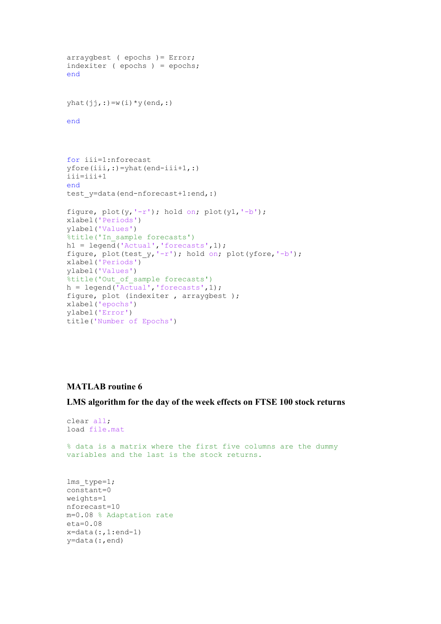```
arraygbest ( epochs ) = Error;
indexiter (epochs) = epochs;
end
yhat(jj, :)=w(i) * y(end,:)end
for iii=1:nforecast
vfore(iii,:)=vhat(end-iii+1,:)iii=iii+1
end
test y=data(end-nforecast+1:end,:)
figure, plot(y, ' - r'); hold on; plot(y1, ' - b');
xlabel('Periods')
ylabel('Values')
%title('In sample forecasts')
h1 = legend('Actual', 'forecasts', 1);
figure, plot(test_y, ' -r'); hold on; plot(yfore, ' -b');xlabel('Periods')
ylabel('Values')
%title('Out_of_sample forecasts')
h = legend('Actual', 'forecasts', 1);figure, plot (indexiter, arraygbest);
xlabel('epochs')
ylabel ('Error')
title ('Number of Epochs')
```
LMS algorithm for the day of the week effects on FTSE 100 stock returns

```
clear all;
load file.mat
% data is a matrix where the first five columns are the dummy
variables and the last is the stock returns.
lms type=1;
constant=0weights=1
nforecast=10
m=0.08 % Adaptation rate
eta = 0.08x = data(:,1:end-1)y = data (:, end)
```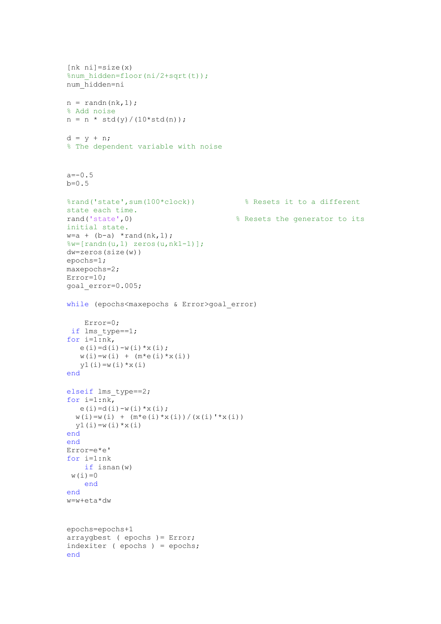```
[nk \nni]=size(x)%num_hidden=floor(ni/2+sqrt(t));
num hidden=ni
n = \text{randn}(nk, 1);
% Add noise
n = n * std(y) / (10 * std(n));d = y + n;% The dependent variable with noise
a=-0.5b=0.5%rand('state', sum(100*clock))
                                          % Resets it to a different
state each time.
rand('state',0)
                                        % Resets the generator to its
initial state.
w=a + (b-a) * rand(nk, 1);\forall w = [\text{randn}(u, 1) \text{ zeros}(u, nk1-1)];
dw = zeros(size(w))epochs=1;maxepochs=2;Error=10;goal error=0.005;
while (epochs<maxepochs & Error>goal error)
    Error=0;if lms type==1;
for i=1:nk,
   e(i) = d(i) - w(i) * x(i);w(i) = w(i) + (m*e(i) *x(i))y1(i) = w(i) * x(i)end
elseif lms_type==2;
for i=1:nk,
  e(i) = d(i) - w(i) * x(i);w(i) = w(i) + (m*e(i) *x(i)) / (x(i) *x(i))y1(i) = w(i) * x(i)end
end
Error=e*e'
for i=1:nkif isnan (w)
w(i) = 0end
end
w=w+eta*dw
epochs=epochs+1
arraygbest ( epochs ) = Error;
indexiter ( epochs ) = epochs;
end
```